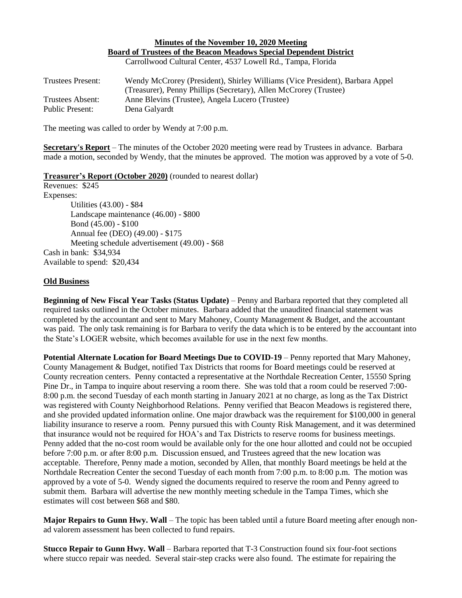## **Minutes of the November 10, 2020 Meeting Board of Trustees of the Beacon Meadows Special Dependent District** Carrollwood Cultural Center, 4537 Lowell Rd., Tampa, Florida

| Trustees Present:      | Wendy McCrorey (President), Shirley Williams (Vice President), Barbara Appel |
|------------------------|------------------------------------------------------------------------------|
|                        | (Treasurer), Penny Phillips (Secretary), Allen McCrorey (Trustee)            |
| Trustees Absent:       | Anne Blevins (Trustee), Angela Lucero (Trustee)                              |
| <b>Public Present:</b> | Dena Galyardt                                                                |

The meeting was called to order by Wendy at 7:00 p.m.

**Secretary's Report** – The minutes of the October 2020 meeting were read by Trustees in advance. Barbara made a motion, seconded by Wendy, that the minutes be approved. The motion was approved by a vote of 5-0.

**Treasurer's Report (October 2020)** (rounded to nearest dollar)

Revenues: \$245 Expenses: Utilities (43.00) - \$84 Landscape maintenance (46.00) - \$800 Bond (45.00) - \$100 Annual fee (DEO) (49.00) - \$175 Meeting schedule advertisement (49.00) - \$68 Cash in bank: \$34,934 Available to spend: \$20,434

## **Old Business**

**Beginning of New Fiscal Year Tasks (Status Update)** – Penny and Barbara reported that they completed all required tasks outlined in the October minutes. Barbara added that the unaudited financial statement was completed by the accountant and sent to Mary Mahoney, County Management & Budget, and the accountant was paid. The only task remaining is for Barbara to verify the data which is to be entered by the accountant into the State's LOGER website, which becomes available for use in the next few months.

**Potential Alternate Location for Board Meetings Due to COVID-19** – Penny reported that Mary Mahoney, County Management & Budget, notified Tax Districts that rooms for Board meetings could be reserved at County recreation centers. Penny contacted a representative at the Northdale Recreation Center, 15550 Spring Pine Dr., in Tampa to inquire about reserving a room there. She was told that a room could be reserved 7:00- 8:00 p.m. the second Tuesday of each month starting in January 2021 at no charge, as long as the Tax District was registered with County Neighborhood Relations. Penny verified that Beacon Meadows is registered there, and she provided updated information online. One major drawback was the requirement for \$100,000 in general liability insurance to reserve a room. Penny pursued this with County Risk Management, and it was determined that insurance would not be required for HOA's and Tax Districts to reserve rooms for business meetings. Penny added that the no-cost room would be available only for the one hour allotted and could not be occupied before 7:00 p.m. or after 8:00 p.m. Discussion ensued, and Trustees agreed that the new location was acceptable. Therefore, Penny made a motion, seconded by Allen, that monthly Board meetings be held at the Northdale Recreation Center the second Tuesday of each month from 7:00 p.m. to 8:00 p.m. The motion was approved by a vote of 5-0. Wendy signed the documents required to reserve the room and Penny agreed to submit them. Barbara will advertise the new monthly meeting schedule in the Tampa Times, which she estimates will cost between \$68 and \$80.

**Major Repairs to Gunn Hwy. Wall** – The topic has been tabled until a future Board meeting after enough nonad valorem assessment has been collected to fund repairs.

**Stucco Repair to Gunn Hwy. Wall** – Barbara reported that T-3 Construction found six four-foot sections where stucco repair was needed. Several stair-step cracks were also found. The estimate for repairing the